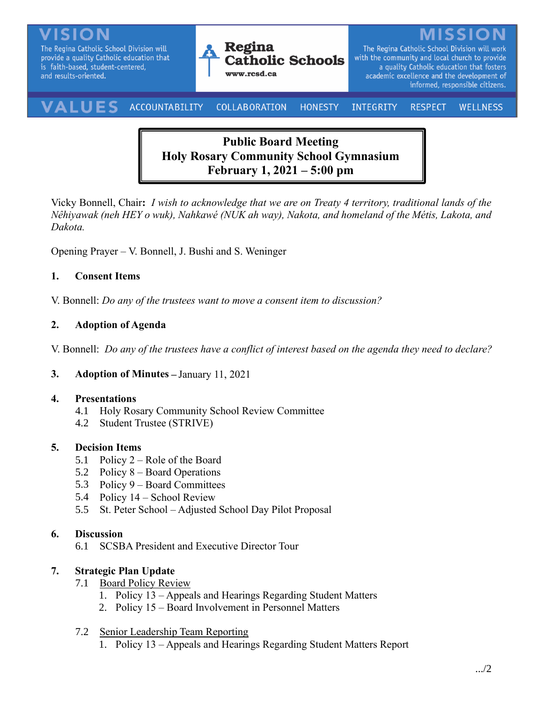The Regina Catholic School Division will provide a quality Catholic education that is faith-based, student-centered, and results-oriented.



The Regina Catholic School Division will work with the community and local church to provide a quality Catholic education that fosters academic excellence and the development of informed, responsible citizens.

#### VALUE ACCOUNTABILITY **COLLABORATION** INTEGRITY **HONESTY RESPECT WELLNESS**

# **Public Board Meeting Holy Rosary Community School Gymnasium February 1, 2021 – 5:00 pm**

Vicky Bonnell, Chair**:** *I wish to acknowledge that we are on Treaty 4 territory, traditional lands of the Nêhiyawak (neh HEY o wuk), Nahkawé (NUK ah way), Nakota, and homeland of the Métis, Lakota, and Dakota.*

Opening Prayer – V. Bonnell, J. Bushi and S. Weninger

## **1. Consent Items**

V. Bonnell: *Do any of the trustees want to move a consent item to discussion?* 

## **2. Adoption of Agenda**

V. Bonnell: *Do any of the trustees have a conflict of interest based on the agenda they need to declare?*

#### **3. Adoption of Minutes –** January 11, 2021

#### **4. Presentations**

- 4.1 Holy Rosary Community School Review Committee
- 4.2 Student Trustee (STRIVE)

#### **5. Decision Items**

- 5.1 Policy 2 Role of the Board
- 5.2 Policy 8 Board Operations
- 5.3 Policy 9 Board Committees
- 5.4 Policy 14 School Review
- 5.5 St. Peter School Adjusted School Day Pilot Proposal

#### **6. Discussion**

6.1 SCSBA President and Executive Director Tour

#### **7. Strategic Plan Update**

- 7.1 Board Policy Review
	- 1. Policy 13 Appeals and Hearings Regarding Student Matters
	- 2. Policy 15 Board Involvement in Personnel Matters

#### 7.2 Senior Leadership Team Reporting

1. Policy 13 – Appeals and Hearings Regarding Student Matters Report